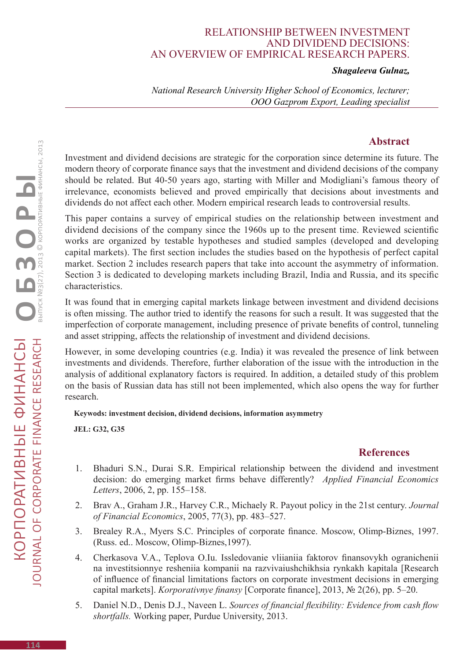## Relationship between investment and dividend decisions: an overview of empirical research papers.

## *Shagaleeva Gulnaz,*

*National Research University Higher School of Economics, lecturer; OOO Gazprom Export, Leading specialist* 

## **Abstract**

Investment and dividend decisions are strategic for the corporation since determine its future. The modern theory of corporate finance says that the investment and dividend decisions of the company should be related. But 40-50 years ago, starting with Miller and Modigliani's famous theory of irrelevance, economists believed and proved empirically that decisions about investments and dividends do not affect each other. Modern empirical research leads to controversial results.

This paper contains a survey of empirical studies on the relationship between investment and dividend decisions of the company since the 1960s up to the present time. Reviewed scientific works are organized by testable hypotheses and studied samples (developed and developing capital markets). The first section includes the studies based on the hypothesis of perfect capital market. Section 2 includes research papers that take into account the asymmetry of information. Section 3 is dedicated to developing markets including Brazil, India and Russia, and its specific characteristics.

It was found that in emerging capital markets linkage between investment and dividend decisions is often missing. The author tried to identify the reasons for such a result. It was suggested that the imperfection of corporate management, including presence of private benefits of control, tunneling and asset stripping, affects the relationship of investment and dividend decisions.

However, in some developing countries (e.g. India) it was revealed the presence of link between investments and dividends. Therefore, further elaboration of the issue with the introduction in the analysis of additional explanatory factors is required. In addition, a detailed study of this problem on the basis of Russian data has still not been implemented, which also opens the way for further research.

**Keywods: investment decision, dividend decisions, information asymmetry**

**JEL: G32, G35**

## **References**

- 1. Bhaduri S.N., Durai S.R. Empirical relationship between the dividend and investment decision: do emerging market firms behave differently? *Applied Financial Economics Letters*, 2006, 2, pp. 155–158.
- 2. Brav A., Graham J.R., Harvey C.R., Michaely R. Payout policy in the 21st century. *Journal of Financial Economics*, 2005, 77(3), pp. 483–527.
- 3. Brealey R.A., Myers S.C. Principles of corporate finance. Moscow, Olimp-Biznes, 1997. (Russ. ed.. Moscow, Olimp-Biznes,1997).
- 4. Cherkasova V.A., Teplova O.Iu. Issledovanie vliianiia faktorov finansovykh ogranichenii na investitsionnye resheniia kompanii na razvivaiushchikhsia rynkakh kapitala [Research of influence of financial limitations factors on corporate investment decisions in emerging capital markets]. *Korporativnye finansy* [Corporate finance], 2013, № 2(26), pp. 5–20.
- 5. Daniel N.D., Denis D.J., Naveen L. *Sources of financial flexibility: Evidence from cash flow shortfalls.* Working paper, Purdue University, 2013.